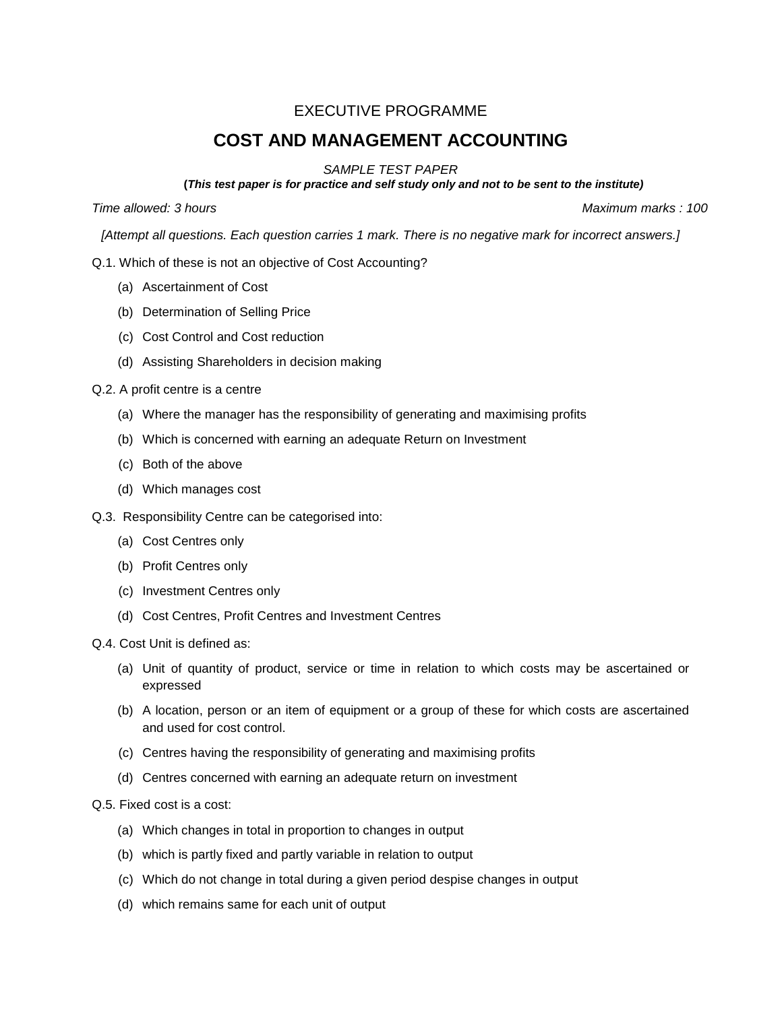## EXECUTIVE PROGRAMME

# **COST AND MANAGEMENT ACCOUNTING**

#### *SAMPLE TEST PAPER*

**(***This test paper is for practice and self study only and not to be sent to the institute)*

*Time allowed: 3 hours Maximum marks : 100*

*[Attempt all questions. Each question carries 1 mark. There is no negative mark for incorrect answers.]*

- Q.1. Which of these is not an objective of Cost Accounting?
	- (a) Ascertainment of Cost
	- (b) Determination of Selling Price
	- (c) Cost Control and Cost reduction
	- (d) Assisting Shareholders in decision making
- Q.2. A profit centre is a centre
	- (a) Where the manager has the responsibility of generating and maximising profits
	- (b) Which is concerned with earning an adequate Return on Investment
	- (c) Both of the above
	- (d) Which manages cost
- Q.3. Responsibility Centre can be categorised into:
	- (a) Cost Centres only
	- (b) Profit Centres only
	- (c) Investment Centres only
	- (d) Cost Centres, Profit Centres and Investment Centres
- Q.4. Cost Unit is defined as:
	- (a) Unit of quantity of product, service or time in relation to which costs may be ascertained or expressed
	- (b) A location, person or an item of equipment or a group of these for which costs are ascertained and used for cost control.
	- (c) Centres having the responsibility of generating and maximising profits
	- (d) Centres concerned with earning an adequate return on investment
- Q.5. Fixed cost is a cost:
	- (a) Which changes in total in proportion to changes in output
	- (b) which is partly fixed and partly variable in relation to output
	- (c) Which do not change in total during a given period despise changes in output
	- (d) which remains same for each unit of output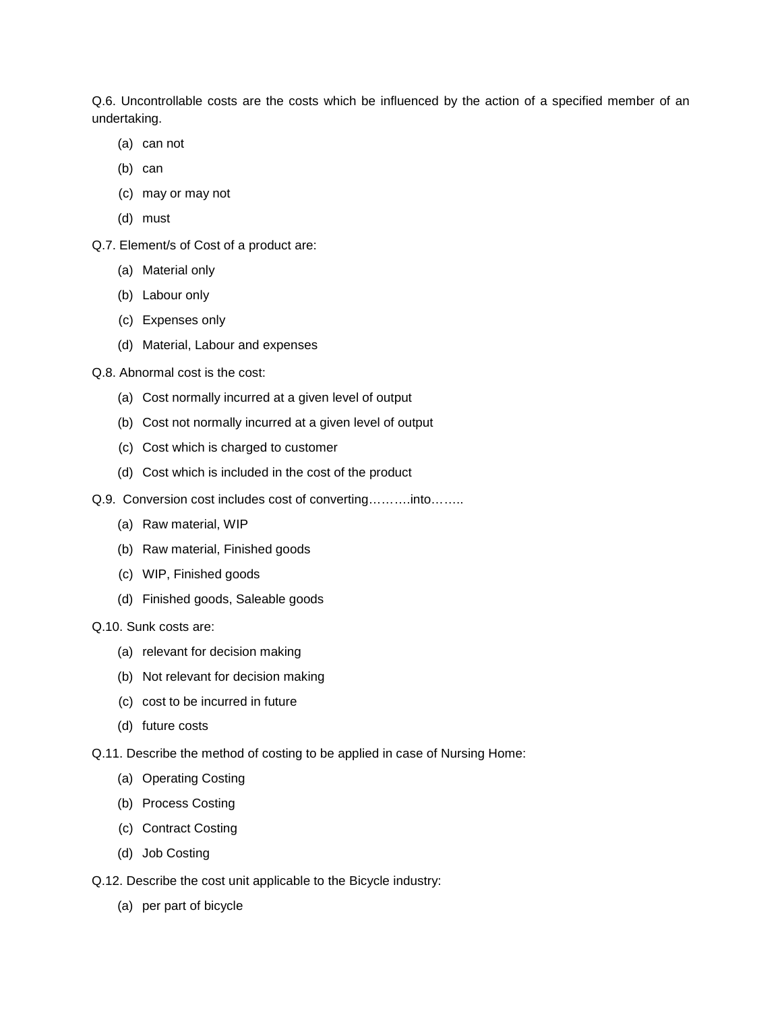Q.6. Uncontrollable costs are the costs which be influenced by the action of a specified member of an undertaking.

- (a) can not
- (b) can
- (c) may or may not
- (d) must
- Q.7. Element/s of Cost of a product are:
	- (a) Material only
	- (b) Labour only
	- (c) Expenses only
	- (d) Material, Labour and expenses
- Q.8. Abnormal cost is the cost:
	- (a) Cost normally incurred at a given level of output
	- (b) Cost not normally incurred at a given level of output
	- (c) Cost which is charged to customer
	- (d) Cost which is included in the cost of the product
- Q.9. Conversion cost includes cost of converting……….into……..
	- (a) Raw material, WIP
	- (b) Raw material, Finished goods
	- (c) WIP, Finished goods
	- (d) Finished goods, Saleable goods

#### Q.10. Sunk costs are:

- (a) relevant for decision making
- (b) Not relevant for decision making
- (c) cost to be incurred in future
- (d) future costs
- Q.11. Describe the method of costing to be applied in case of Nursing Home:
	- (a) Operating Costing
	- (b) Process Costing
	- (c) Contract Costing
	- (d) Job Costing
- Q.12. Describe the cost unit applicable to the Bicycle industry:
	- (a) per part of bicycle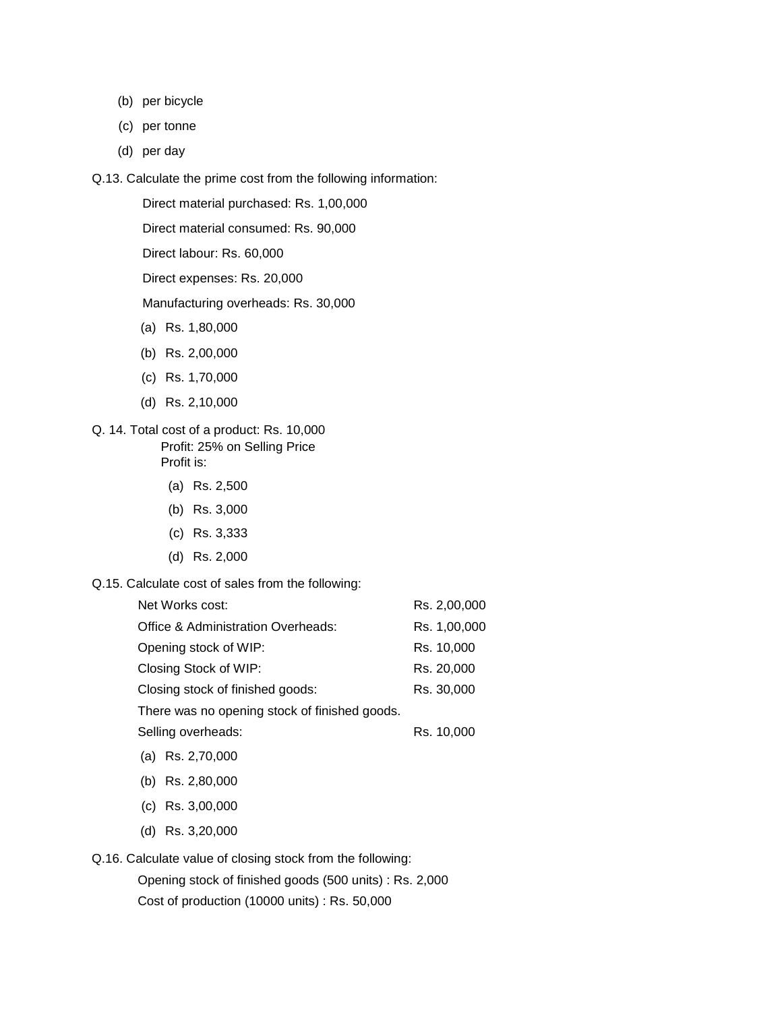- (b) per bicycle
- (c) per tonne
- (d) per day
- Q.13. Calculate the prime cost from the following information:

Direct material purchased: Rs. 1,00,000

Direct material consumed: Rs. 90,000

Direct labour: Rs. 60,000

Direct expenses: Rs. 20,000

Manufacturing overheads: Rs. 30,000

- (a) Rs. 1,80,000
- (b) Rs. 2,00,000
- (c) Rs. 1,70,000
- (d) Rs. 2,10,000

#### Q. 14. Total cost of a product: Rs. 10,000 Profit: 25% on Selling Price Profit is:

- (a) Rs. 2,500
- (b) Rs. 3,000
- (c) Rs. 3,333
- (d) Rs. 2,000
- Q.15. Calculate cost of sales from the following:

| Rs. 2,00,000 |
|--------------|
| Rs. 1,00,000 |
| Rs. 10,000   |
| Rs. 20,000   |
| Rs. 30,000   |
|              |
| Rs. 10,000   |
|              |
|              |

- (b) Rs. 2,80,000
- (c) Rs. 3,00,000
- (d) Rs. 3,20,000

Q.16. Calculate value of closing stock from the following:

Opening stock of finished goods (500 units) : Rs. 2,000 Cost of production (10000 units) : Rs. 50,000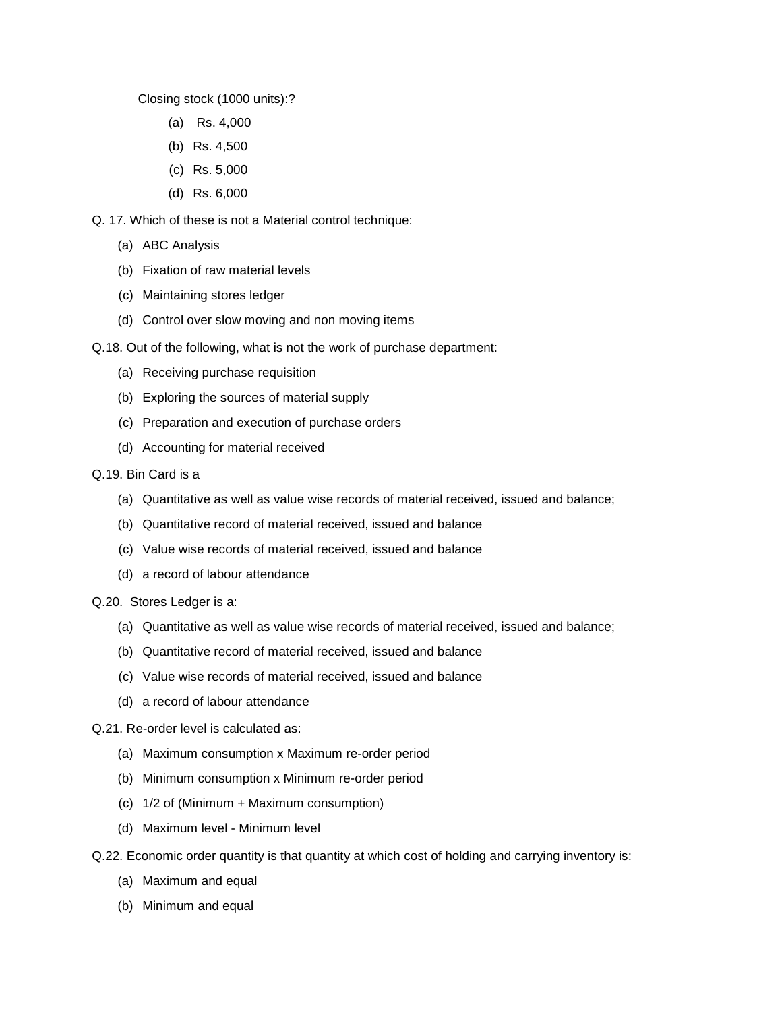Closing stock (1000 units):?

- (a) Rs. 4,000
- (b) Rs. 4,500
- (c) Rs. 5,000
- (d) Rs. 6,000

Q. 17. Which of these is not a Material control technique:

- (a) ABC Analysis
- (b) Fixation of raw material levels
- (c) Maintaining stores ledger
- (d) Control over slow moving and non moving items
- Q.18. Out of the following, what is not the work of purchase department:
	- (a) Receiving purchase requisition
	- (b) Exploring the sources of material supply
	- (c) Preparation and execution of purchase orders
	- (d) Accounting for material received
- Q.19. Bin Card is a
	- (a) Quantitative as well as value wise records of material received, issued and balance;
	- (b) Quantitative record of material received, issued and balance
	- (c) Value wise records of material received, issued and balance
	- (d) a record of labour attendance
- Q.20. Stores Ledger is a:
	- (a) Quantitative as well as value wise records of material received, issued and balance;
	- (b) Quantitative record of material received, issued and balance
	- (c) Value wise records of material received, issued and balance
	- (d) a record of labour attendance
- Q.21. Re-order level is calculated as:
	- (a) Maximum consumption x Maximum re-order period
	- (b) Minimum consumption x Minimum re-order period
	- (c) 1/2 of (Minimum + Maximum consumption)
	- (d) Maximum level Minimum level
- Q.22. Economic order quantity is that quantity at which cost of holding and carrying inventory is:
	- (a) Maximum and equal
	- (b) Minimum and equal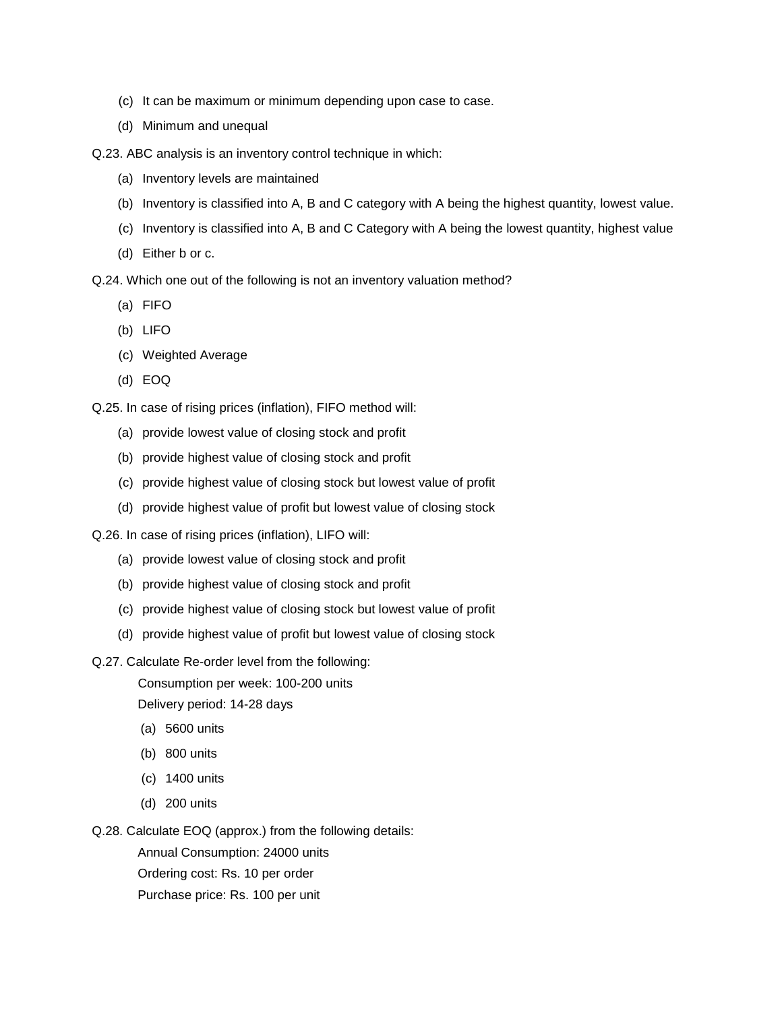- (c) It can be maximum or minimum depending upon case to case.
- (d) Minimum and unequal

Q.23. ABC analysis is an inventory control technique in which:

- (a) Inventory levels are maintained
- (b) Inventory is classified into A, B and C category with A being the highest quantity, lowest value.
- (c) Inventory is classified into A, B and C Category with A being the lowest quantity, highest value
- (d) Either b or c.

Q.24. Which one out of the following is not an inventory valuation method?

- (a) FIFO
- (b) LIFO
- (c) Weighted Average
- (d) EOQ

Q.25. In case of rising prices (inflation), FIFO method will:

- (a) provide lowest value of closing stock and profit
- (b) provide highest value of closing stock and profit
- (c) provide highest value of closing stock but lowest value of profit
- (d) provide highest value of profit but lowest value of closing stock
- Q.26. In case of rising prices (inflation), LIFO will:
	- (a) provide lowest value of closing stock and profit
	- (b) provide highest value of closing stock and profit
	- (c) provide highest value of closing stock but lowest value of profit
	- (d) provide highest value of profit but lowest value of closing stock
- Q.27. Calculate Re-order level from the following:

Consumption per week: 100-200 units

Delivery period: 14-28 days

- (a) 5600 units
- (b) 800 units
- (c) 1400 units
- (d) 200 units

Q.28. Calculate EOQ (approx.) from the following details:

Annual Consumption: 24000 units

Ordering cost: Rs. 10 per order

Purchase price: Rs. 100 per unit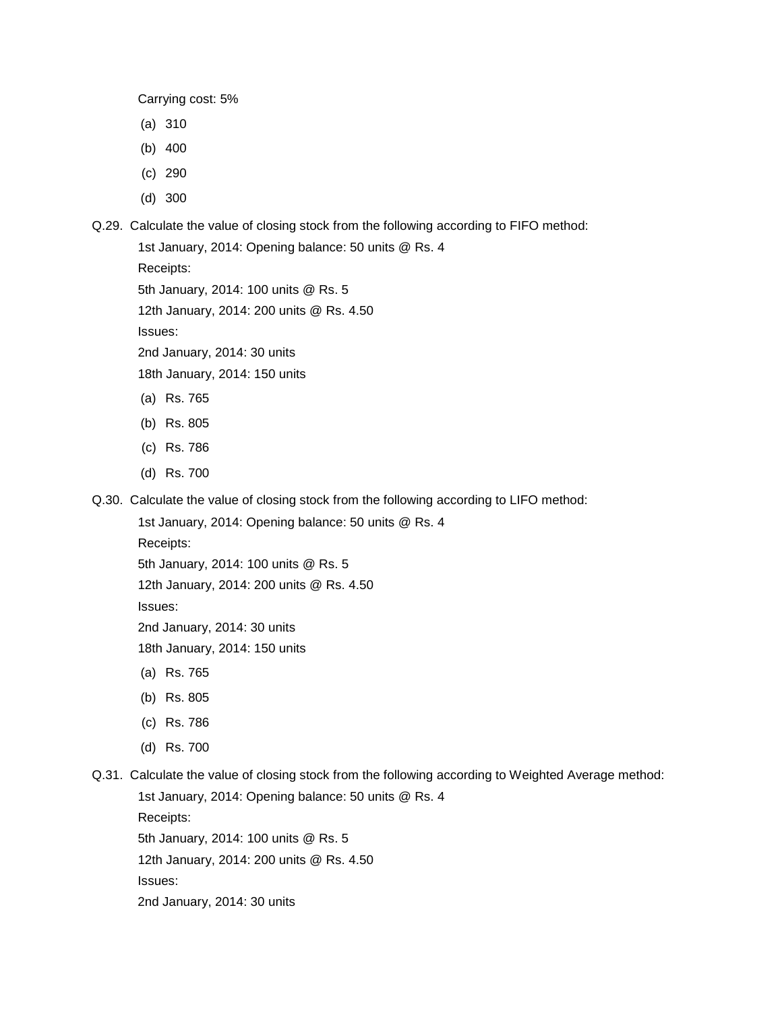Carrying cost: 5%

- (a) 310
- (b) 400
- (c) 290
- (d) 300
- Q.29. Calculate the value of closing stock from the following according to FIFO method:

```
1st January, 2014: Opening balance: 50 units @ Rs. 4
Receipts:
5th January, 2014: 100 units @ Rs. 5
12th January, 2014: 200 units @ Rs. 4.50
Issues:
2nd January, 2014: 30 units 
18th January, 2014: 150 units
(a) Rs. 765
```
- (b) Rs. 805
- (c) Rs. 786
- (d) Rs. 700
- Q.30. Calculate the value of closing stock from the following according to LIFO method:

1st January, 2014: Opening balance: 50 units @ Rs. 4

Receipts:

5th January, 2014: 100 units @ Rs. 5

12th January, 2014: 200 units @ Rs. 4.50

Issues:

2nd January, 2014: 30 units

18th January, 2014: 150 units

- (a) Rs. 765
- (b) Rs. 805
- (c) Rs. 786
- (d) Rs. 700

Q.31. Calculate the value of closing stock from the following according to Weighted Average method:

1st January, 2014: Opening balance: 50 units @ Rs. 4 Receipts: 5th January, 2014: 100 units @ Rs. 5 12th January, 2014: 200 units @ Rs. 4.50 Issues: 2nd January, 2014: 30 units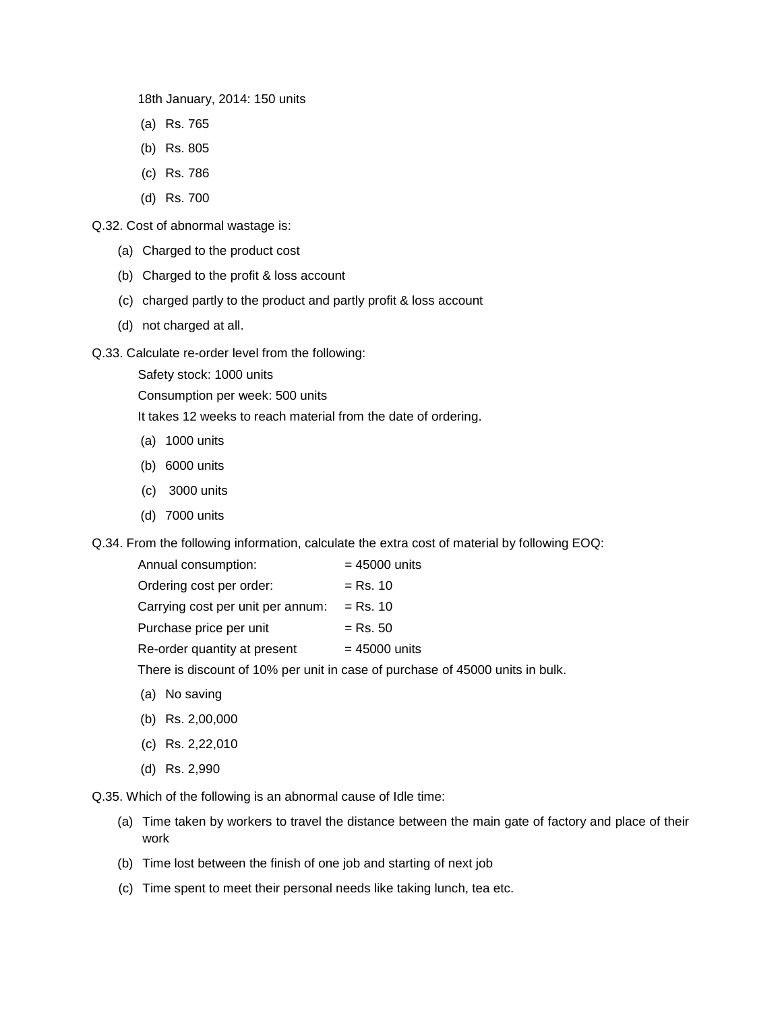18th January, 2014: 150 units

- (a) Rs. 765
- (b) Rs. 805
- (c) Rs. 786
- (d) Rs. 700

Q.32. Cost of abnormal wastage is:

- (a) Charged to the product cost
- (b) Charged to the profit & loss account
- (c) charged partly to the product and partly profit & loss account
- (d) not charged at all.

Q.33. Calculate re-order level from the following:

Safety stock: 1000 units

Consumption per week: 500 units

It takes 12 weeks to reach material from the date of ordering.

- (a) 1000 units
- (b) 6000 units
- (c) 3000 units
- (d) 7000 units

Q.34. From the following information, calculate the extra cost of material by following EOQ:

| Annual consumption:               | $= 45000$ units                                                               |
|-----------------------------------|-------------------------------------------------------------------------------|
| Ordering cost per order:          | $=$ Rs. 10                                                                    |
| Carrying cost per unit per annum: | $=$ Rs. 10                                                                    |
| Purchase price per unit           | $=$ Rs. 50                                                                    |
| Re-order quantity at present      | $= 45000$ units                                                               |
|                                   | There is discount of 10% per unit in case of purchase of 45000 units in bulk. |

- (a) No saving
- (b) Rs. 2,00,000
- (c) Rs. 2,22,010
- (d) Rs. 2,990

Q.35. Which of the following is an abnormal cause of Idle time:

- (a) Time taken by workers to travel the distance between the main gate of factory and place of their work
- (b) Time lost between the finish of one job and starting of next job
- (c) Time spent to meet their personal needs like taking lunch, tea etc.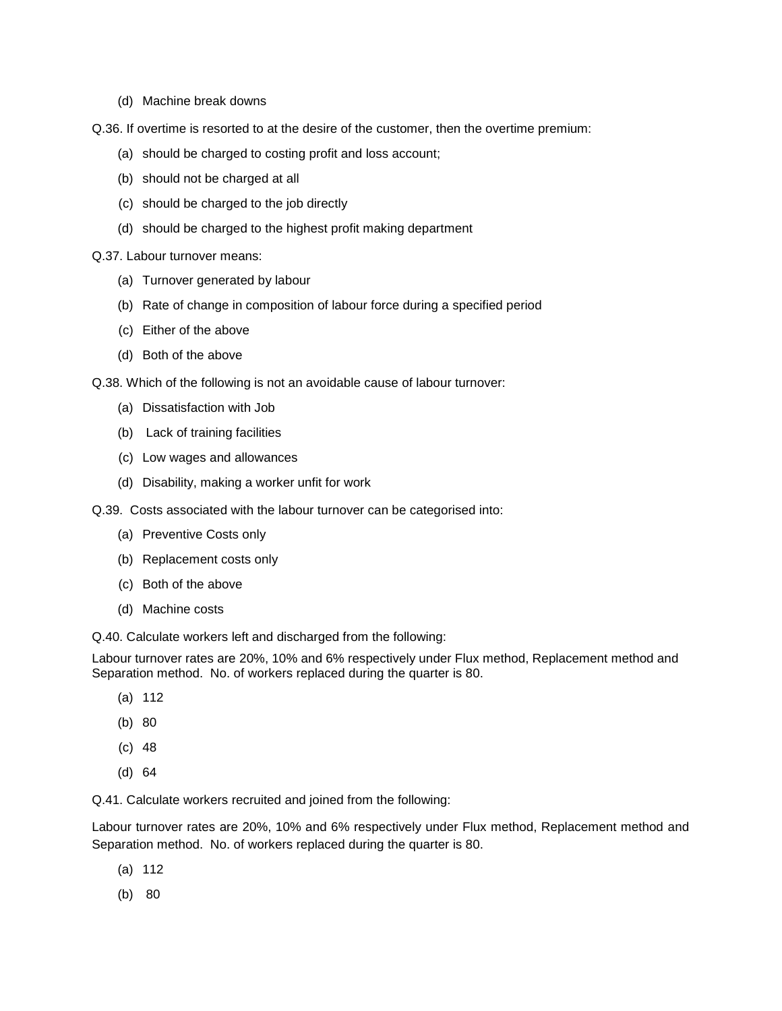- (d) Machine break downs
- Q.36. If overtime is resorted to at the desire of the customer, then the overtime premium:
	- (a) should be charged to costing profit and loss account;
	- (b) should not be charged at all
	- (c) should be charged to the job directly
	- (d) should be charged to the highest profit making department

#### Q.37. Labour turnover means:

- (a) Turnover generated by labour
- (b) Rate of change in composition of labour force during a specified period
- (c) Either of the above
- (d) Both of the above

Q.38. Which of the following is not an avoidable cause of labour turnover:

- (a) Dissatisfaction with Job
- (b) Lack of training facilities
- (c) Low wages and allowances
- (d) Disability, making a worker unfit for work

Q.39. Costs associated with the labour turnover can be categorised into:

- (a) Preventive Costs only
- (b) Replacement costs only
- (c) Both of the above
- (d) Machine costs

Q.40. Calculate workers left and discharged from the following:

Labour turnover rates are 20%, 10% and 6% respectively under Flux method, Replacement method and Separation method. No. of workers replaced during the quarter is 80.

- (a) 112
- (b) 80
- (c) 48
- (d) 64

Q.41. Calculate workers recruited and joined from the following:

Labour turnover rates are 20%, 10% and 6% respectively under Flux method, Replacement method and Separation method. No. of workers replaced during the quarter is 80.

- (a) 112
- (b) 80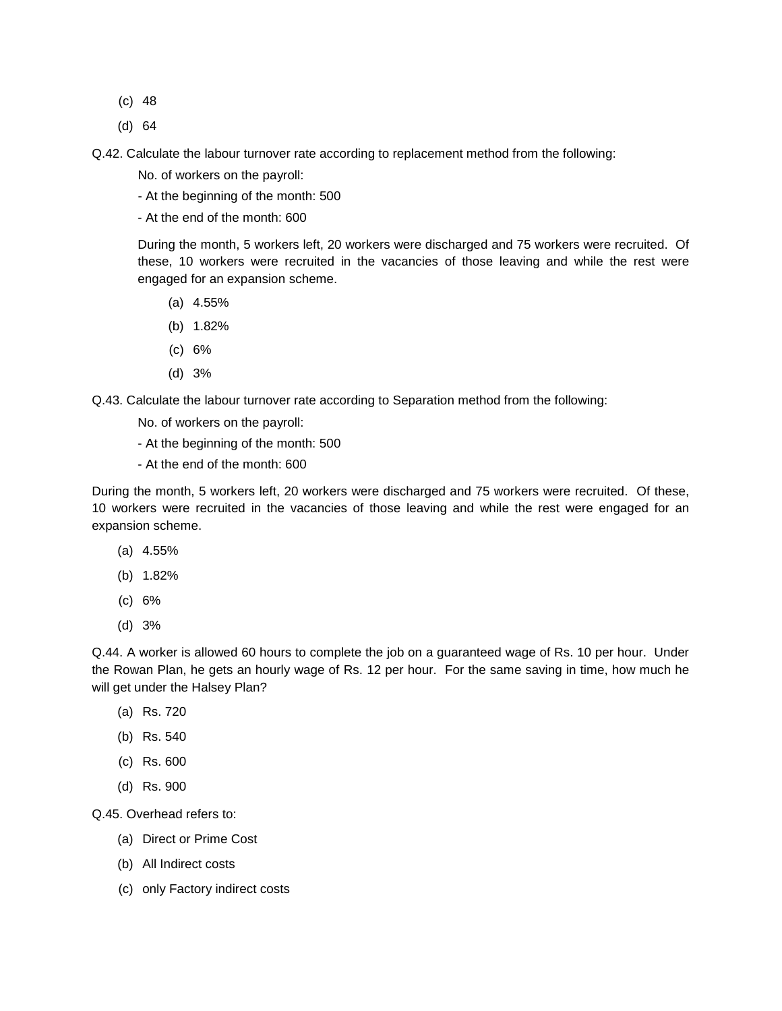- (c) 48
- (d) 64

Q.42. Calculate the labour turnover rate according to replacement method from the following:

No. of workers on the payroll:

- At the beginning of the month: 500

- At the end of the month: 600

During the month, 5 workers left, 20 workers were discharged and 75 workers were recruited. Of these, 10 workers were recruited in the vacancies of those leaving and while the rest were engaged for an expansion scheme.

- (a) 4.55%
- (b) 1.82%
- (c) 6%
- (d) 3%

Q.43. Calculate the labour turnover rate according to Separation method from the following:

No. of workers on the payroll:

- At the beginning of the month: 500
- At the end of the month: 600

During the month, 5 workers left, 20 workers were discharged and 75 workers were recruited. Of these, 10 workers were recruited in the vacancies of those leaving and while the rest were engaged for an expansion scheme.

- (a) 4.55%
- (b) 1.82%
- (c) 6%
- (d) 3%

Q.44. A worker is allowed 60 hours to complete the job on a guaranteed wage of Rs. 10 per hour. Under the Rowan Plan, he gets an hourly wage of Rs. 12 per hour. For the same saving in time, how much he will get under the Halsey Plan?

- (a) Rs. 720
- (b) Rs. 540
- (c) Rs. 600
- (d) Rs. 900

Q.45. Overhead refers to:

- (a) Direct or Prime Cost
- (b) All Indirect costs
- (c) only Factory indirect costs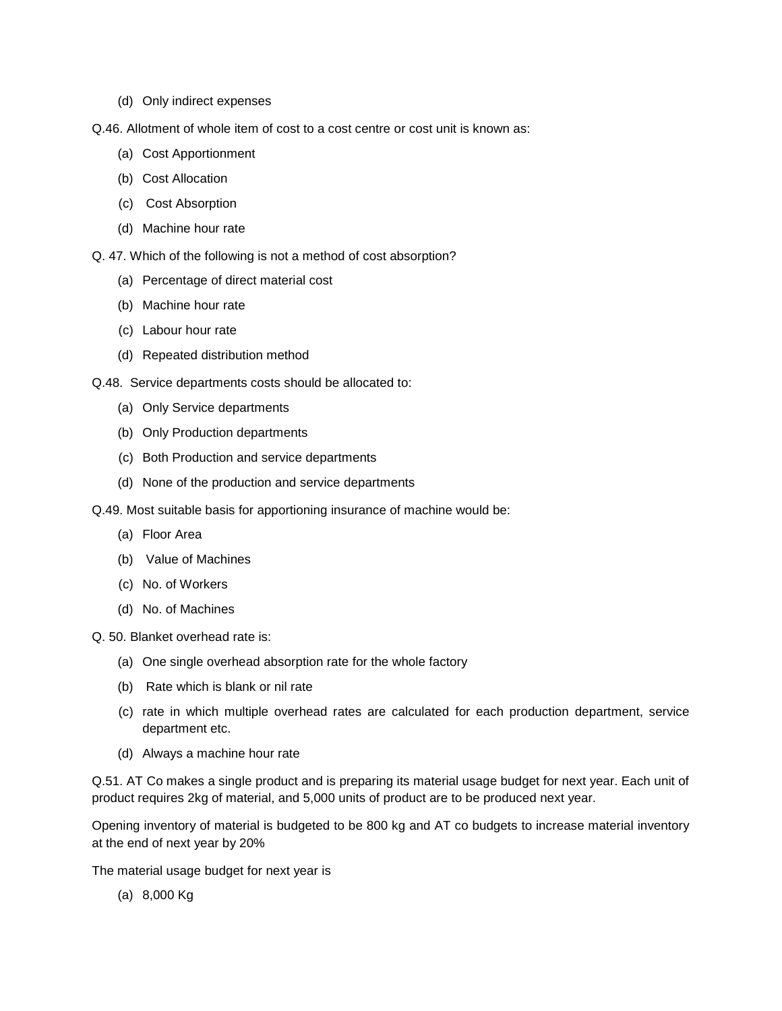- (d) Only indirect expenses
- Q.46. Allotment of whole item of cost to a cost centre or cost unit is known as:
	- (a) Cost Apportionment
	- (b) Cost Allocation
	- (c) Cost Absorption
	- (d) Machine hour rate
- Q. 47. Which of the following is not a method of cost absorption?
	- (a) Percentage of direct material cost
	- (b) Machine hour rate
	- (c) Labour hour rate
	- (d) Repeated distribution method
- Q.48. Service departments costs should be allocated to:
	- (a) Only Service departments
	- (b) Only Production departments
	- (c) Both Production and service departments
	- (d) None of the production and service departments
- Q.49. Most suitable basis for apportioning insurance of machine would be:
	- (a) Floor Area
	- (b) Value of Machines
	- (c) No. of Workers
	- (d) No. of Machines
- Q. 50. Blanket overhead rate is:
	- (a) One single overhead absorption rate for the whole factory
	- (b) Rate which is blank or nil rate
	- (c) rate in which multiple overhead rates are calculated for each production department, service department etc.
	- (d) Always a machine hour rate

Q.51. AT Co makes a single product and is preparing its material usage budget for next year. Each unit of product requires 2kg of material, and 5,000 units of product are to be produced next year.

Opening inventory of material is budgeted to be 800 kg and AT co budgets to increase material inventory at the end of next year by 20%

The material usage budget for next year is

(a) 8,000 Kg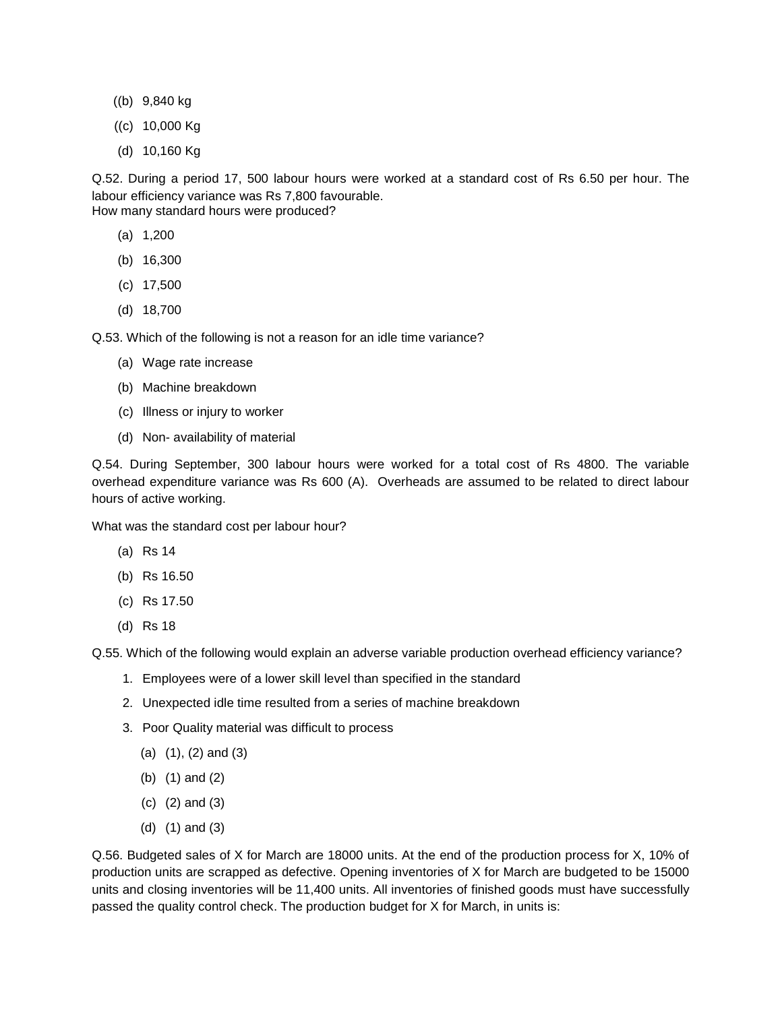- ((b) 9,840 kg
- ((c) 10,000 Kg
- (d) 10,160 Kg

Q.52. During a period 17, 500 labour hours were worked at a standard cost of Rs 6.50 per hour. The labour efficiency variance was Rs 7,800 favourable. How many standard hours were produced?

- (a) 1,200
- (b) 16,300
- (c) 17,500
- (d) 18,700

Q.53. Which of the following is not a reason for an idle time variance?

- (a) Wage rate increase
- (b) Machine breakdown
- (c) Illness or injury to worker
- (d) Non- availability of material

Q.54. During September, 300 labour hours were worked for a total cost of Rs 4800. The variable overhead expenditure variance was Rs 600 (A). Overheads are assumed to be related to direct labour hours of active working.

What was the standard cost per labour hour?

- (a) Rs 14
- (b) Rs 16.50
- (c) Rs 17.50
- (d) Rs 18

Q.55. Which of the following would explain an adverse variable production overhead efficiency variance?

- 1. Employees were of a lower skill level than specified in the standard
- 2. Unexpected idle time resulted from a series of machine breakdown
- 3. Poor Quality material was difficult to process
	- (a) (1), (2) and (3)
	- (b) (1) and (2)
	- (c) (2) and (3)
	- (d) (1) and (3)

Q.56. Budgeted sales of X for March are 18000 units. At the end of the production process for X, 10% of production units are scrapped as defective. Opening inventories of X for March are budgeted to be 15000 units and closing inventories will be 11,400 units. All inventories of finished goods must have successfully passed the quality control check. The production budget for X for March, in units is: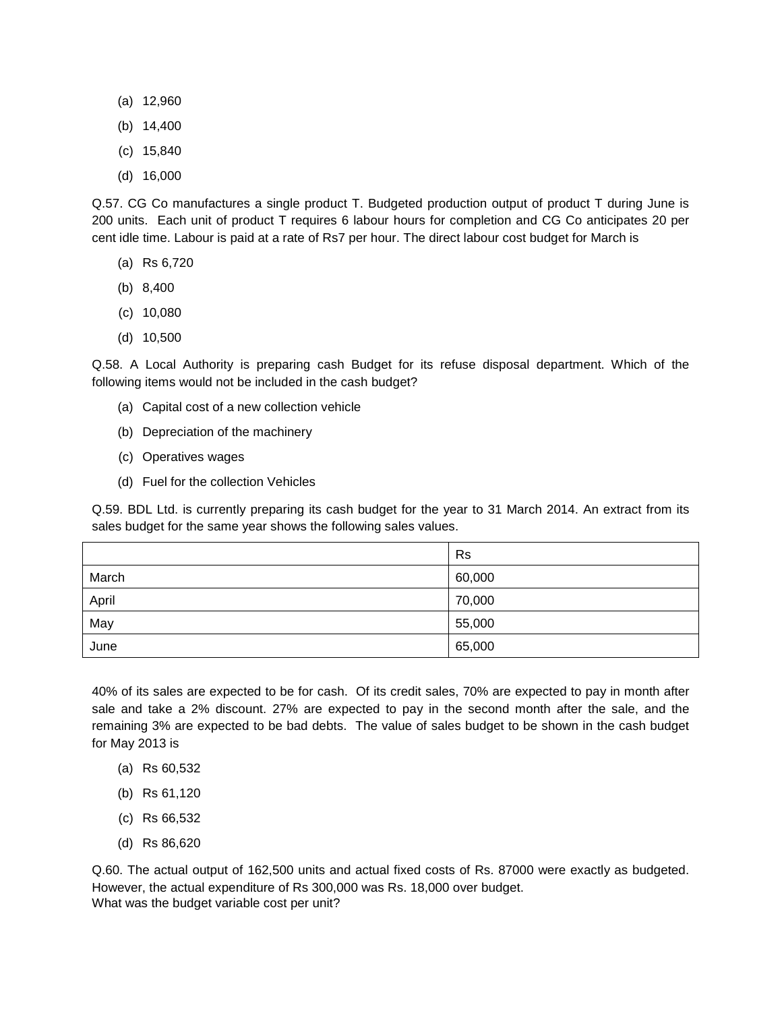- (a) 12,960
- (b) 14,400
- (c) 15,840
- (d) 16,000

Q.57. CG Co manufactures a single product T. Budgeted production output of product T during June is 200 units. Each unit of product T requires 6 labour hours for completion and CG Co anticipates 20 per cent idle time. Labour is paid at a rate of Rs7 per hour. The direct labour cost budget for March is

- (a) Rs 6,720
- (b) 8,400
- (c) 10,080
- (d) 10,500

Q.58. A Local Authority is preparing cash Budget for its refuse disposal department. Which of the following items would not be included in the cash budget?

- (a) Capital cost of a new collection vehicle
- (b) Depreciation of the machinery
- (c) Operatives wages
- (d) Fuel for the collection Vehicles

Q.59. BDL Ltd. is currently preparing its cash budget for the year to 31 March 2014. An extract from its sales budget for the same year shows the following sales values.

|       | <b>Rs</b> |
|-------|-----------|
| March | 60,000    |
| April | 70,000    |
| May   | 55,000    |
| June  | 65,000    |

40% of its sales are expected to be for cash. Of its credit sales, 70% are expected to pay in month after sale and take a 2% discount. 27% are expected to pay in the second month after the sale, and the remaining 3% are expected to be bad debts. The value of sales budget to be shown in the cash budget for May 2013 is

- (a) Rs 60,532
- (b) Rs 61,120
- (c) Rs 66,532
- (d) Rs 86,620

Q.60. The actual output of 162,500 units and actual fixed costs of Rs. 87000 were exactly as budgeted. However, the actual expenditure of Rs 300,000 was Rs. 18,000 over budget. What was the budget variable cost per unit?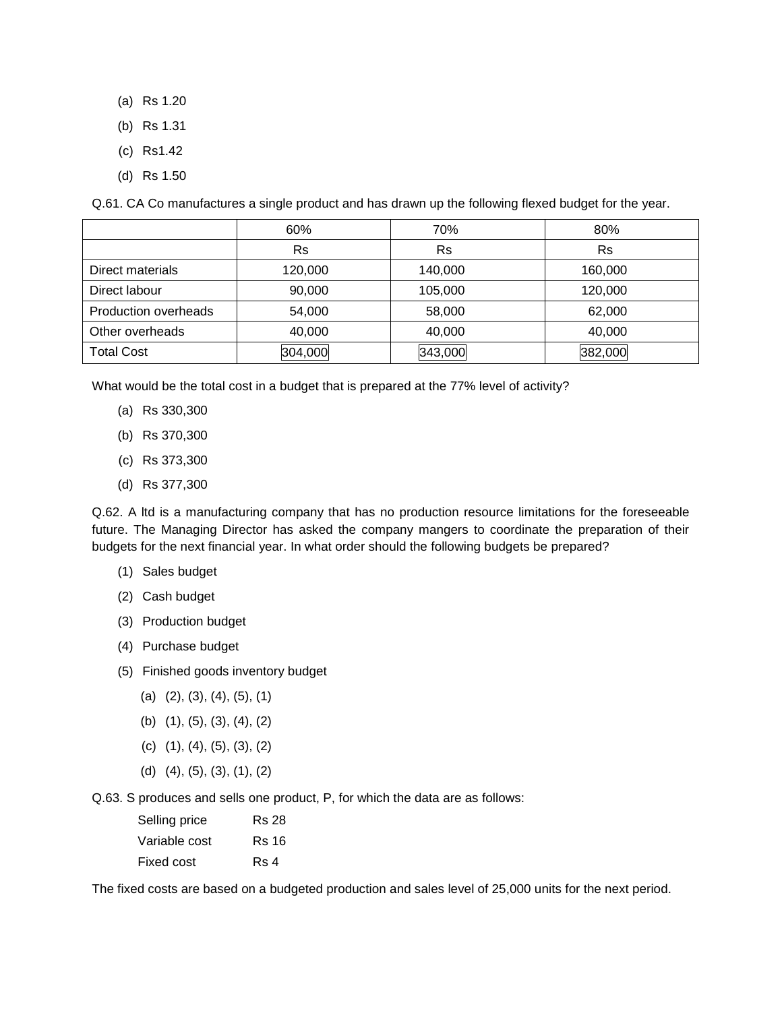- (a) Rs 1.20
- (b) Rs 1.31
- (c) Rs1.42
- (d) Rs 1.50

Q.61. CA Co manufactures a single product and has drawn up the following flexed budget for the year.

|                             | 60%       | 70%     | 80%     |
|-----------------------------|-----------|---------|---------|
|                             | <b>Rs</b> | Rs      | Rs      |
| Direct materials            | 120,000   | 140,000 | 160,000 |
| Direct labour               | 90,000    | 105,000 | 120,000 |
| <b>Production overheads</b> | 54,000    | 58,000  | 62,000  |
| Other overheads             | 40,000    | 40,000  | 40,000  |
| <b>Total Cost</b>           | 304,000   | 343,000 | 382,000 |

What would be the total cost in a budget that is prepared at the 77% level of activity?

- (a) Rs 330,300
- (b) Rs 370,300
- (c) Rs 373,300
- (d) Rs 377,300

Q.62. A ltd is a manufacturing company that has no production resource limitations for the foreseeable future. The Managing Director has asked the company mangers to coordinate the preparation of their budgets for the next financial year. In what order should the following budgets be prepared?

- (1) Sales budget
- (2) Cash budget
- (3) Production budget
- (4) Purchase budget
- (5) Finished goods inventory budget
	- $(a)$   $(2), (3), (4), (5), (1)$
	- (b) (1), (5), (3), (4), (2)
	- (c) (1), (4), (5), (3), (2)
	- (d) (4), (5), (3), (1), (2)

Q.63. S produces and sells one product, P, for which the data are as follows:

| Selling price | <b>Rs 28</b> |
|---------------|--------------|
| Variable cost | Rs 16        |
| Fixed cost    | Rs 4         |

The fixed costs are based on a budgeted production and sales level of 25,000 units for the next period.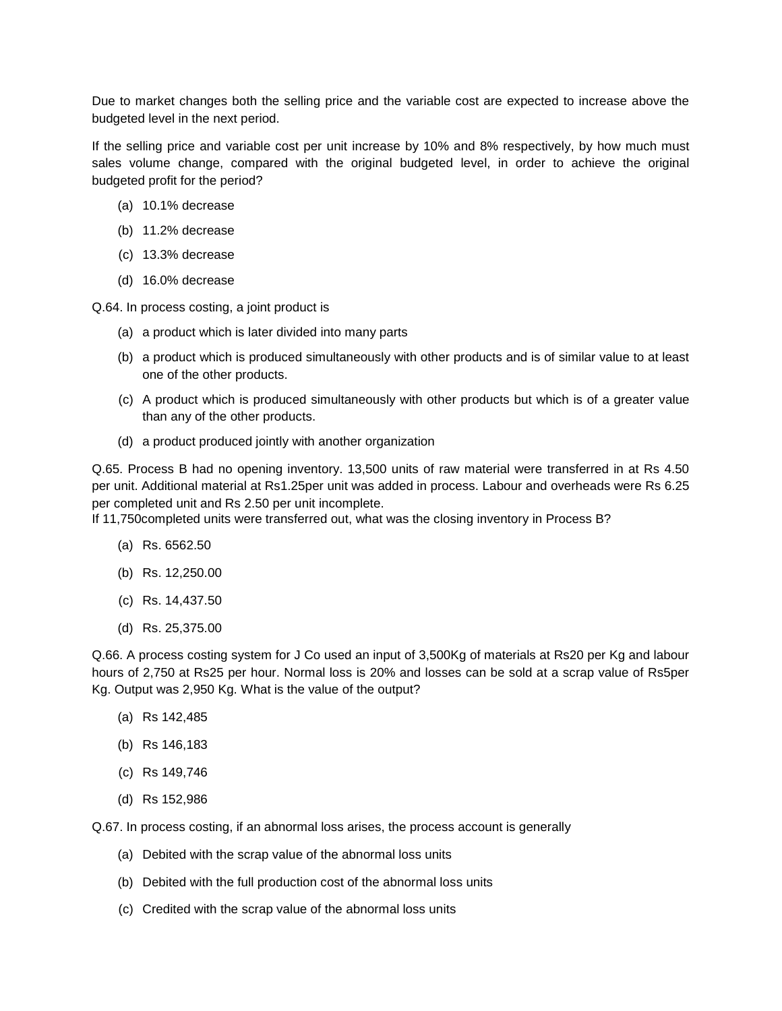Due to market changes both the selling price and the variable cost are expected to increase above the budgeted level in the next period.

If the selling price and variable cost per unit increase by 10% and 8% respectively, by how much must sales volume change, compared with the original budgeted level, in order to achieve the original budgeted profit for the period?

- (a) 10.1% decrease
- (b) 11.2% decrease
- (c) 13.3% decrease
- (d) 16.0% decrease

Q.64. In process costing, a joint product is

- (a) a product which is later divided into many parts
- (b) a product which is produced simultaneously with other products and is of similar value to at least one of the other products.
- (c) A product which is produced simultaneously with other products but which is of a greater value than any of the other products.
- (d) a product produced jointly with another organization

Q.65. Process B had no opening inventory. 13,500 units of raw material were transferred in at Rs 4.50 per unit. Additional material at Rs1.25per unit was added in process. Labour and overheads were Rs 6.25 per completed unit and Rs 2.50 per unit incomplete.

If 11,750completed units were transferred out, what was the closing inventory in Process B?

- (a) Rs. 6562.50
- (b) Rs. 12,250.00
- (c) Rs. 14,437.50
- (d) Rs. 25,375.00

Q.66. A process costing system for J Co used an input of 3,500Kg of materials at Rs20 per Kg and labour hours of 2,750 at Rs25 per hour. Normal loss is 20% and losses can be sold at a scrap value of Rs5per Kg. Output was 2,950 Kg. What is the value of the output?

- (a) Rs 142,485
- (b) Rs 146,183
- (c) Rs 149,746
- (d) Rs 152,986

Q.67. In process costing, if an abnormal loss arises, the process account is generally

- (a) Debited with the scrap value of the abnormal loss units
- (b) Debited with the full production cost of the abnormal loss units
- (c) Credited with the scrap value of the abnormal loss units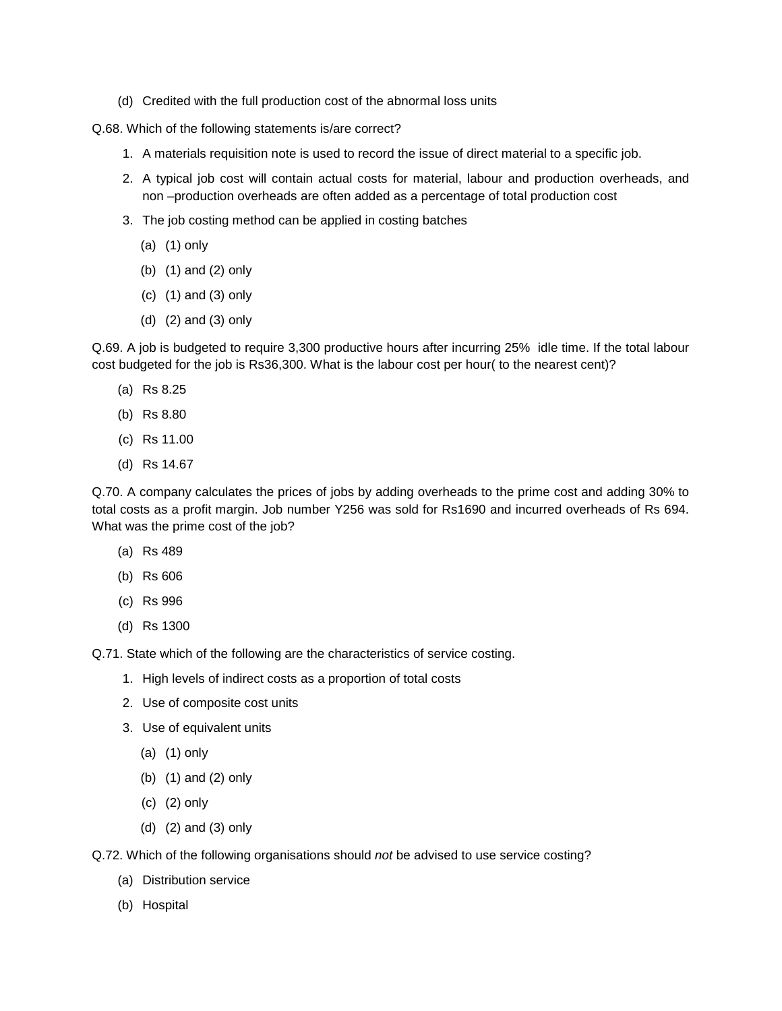(d) Credited with the full production cost of the abnormal loss units

Q.68. Which of the following statements is/are correct?

- 1. A materials requisition note is used to record the issue of direct material to a specific job.
- 2. A typical job cost will contain actual costs for material, labour and production overheads, and non –production overheads are often added as a percentage of total production cost
- 3. The job costing method can be applied in costing batches
	- (a) (1) only
	- (b) (1) and (2) only
	- (c) (1) and (3) only
	- (d) (2) and (3) only

Q.69. A job is budgeted to require 3,300 productive hours after incurring 25% idle time. If the total labour cost budgeted for the job is Rs36,300. What is the labour cost per hour( to the nearest cent)?

- (a) Rs 8.25
- (b) Rs 8.80
- (c) Rs 11.00
- (d) Rs 14.67

Q.70. A company calculates the prices of jobs by adding overheads to the prime cost and adding 30% to total costs as a profit margin. Job number Y256 was sold for Rs1690 and incurred overheads of Rs 694. What was the prime cost of the job?

- (a) Rs 489
- (b) Rs 606
- (c) Rs 996
- (d) Rs 1300

Q.71. State which of the following are the characteristics of service costing.

- 1. High levels of indirect costs as a proportion of total costs
- 2. Use of composite cost units
- 3. Use of equivalent units
	- (a) (1) only
	- (b) (1) and (2) only
	- (c) (2) only
	- (d) (2) and (3) only
- Q.72. Which of the following organisations should *not* be advised to use service costing?
	- (a) Distribution service
	- (b) Hospital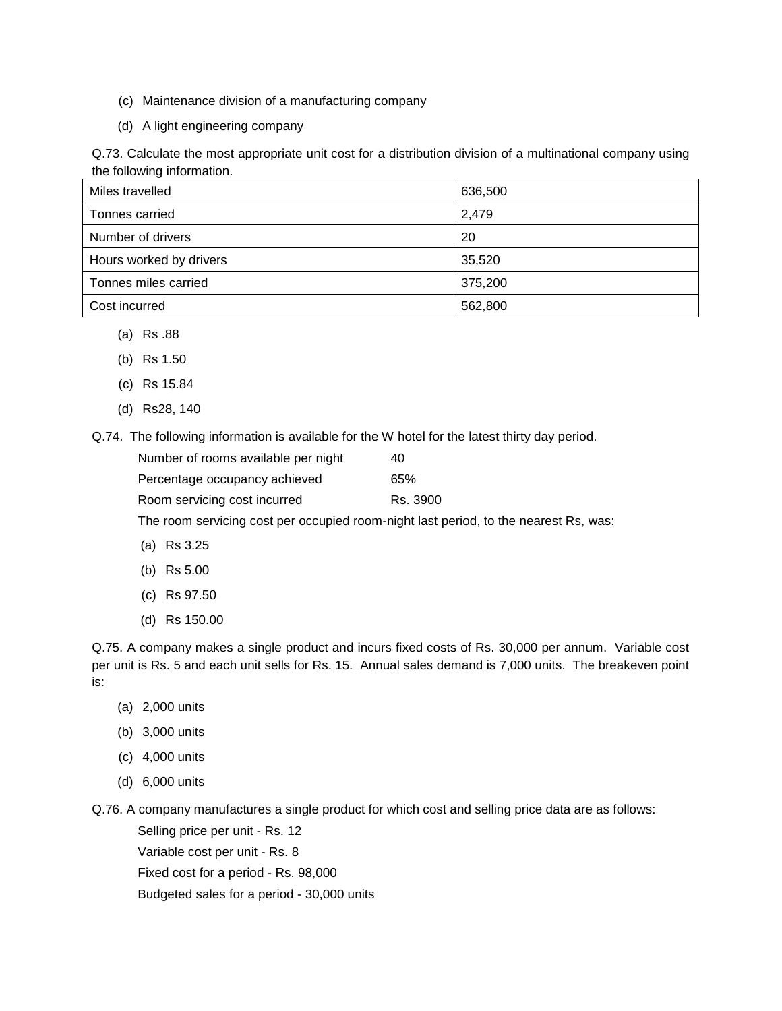- (c) Maintenance division of a manufacturing company
- (d) A light engineering company

Q.73. Calculate the most appropriate unit cost for a distribution division of a multinational company using the following information.

| Miles travelled         | 636,500 |
|-------------------------|---------|
| Tonnes carried          | 2,479   |
| Number of drivers       | 20      |
| Hours worked by drivers | 35,520  |
| Tonnes miles carried    | 375,200 |
| Cost incurred           | 562,800 |

- (a) Rs .88
- (b) Rs 1.50
- (c) Rs 15.84
- (d) Rs28, 140

Q.74. The following information is available for the W hotel for the latest thirty day period.

| Number of rooms available per night | 40       |
|-------------------------------------|----------|
| Percentage occupancy achieved       | 65%      |
| Room servicing cost incurred        | Rs. 3900 |

The room servicing cost per occupied room-night last period, to the nearest Rs, was:

- (a) Rs 3.25
- (b) Rs 5.00
- (c) Rs 97.50
- (d) Rs 150.00

Q.75. A company makes a single product and incurs fixed costs of Rs. 30,000 per annum. Variable cost per unit is Rs. 5 and each unit sells for Rs. 15. Annual sales demand is 7,000 units. The breakeven point is:

- (a) 2,000 units
- (b) 3,000 units
- (c) 4,000 units
- (d) 6,000 units

Q.76. A company manufactures a single product for which cost and selling price data are as follows:

Selling price per unit - Rs. 12

Variable cost per unit - Rs. 8

Fixed cost for a period - Rs. 98,000

Budgeted sales for a period - 30,000 units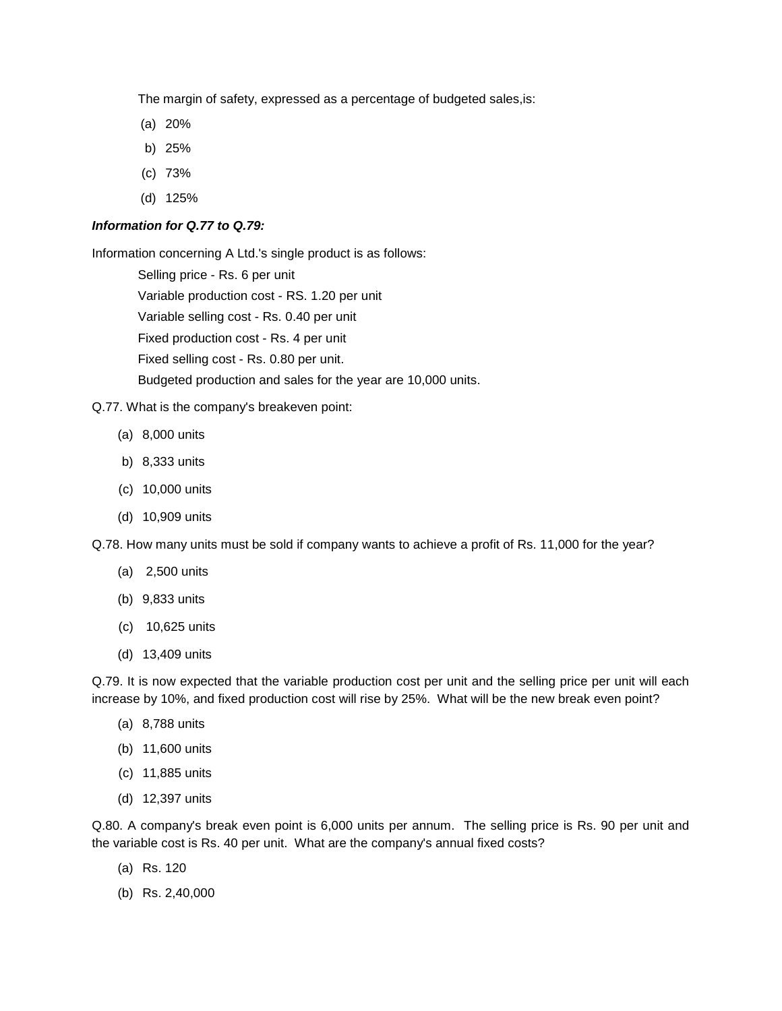The margin of safety, expressed as a percentage of budgeted sales,is:

- (a) 20%
- b) 25%
- (c) 73%
- (d) 125%

### *Information for Q.77 to Q.79:*

Information concerning A Ltd.'s single product is as follows:

Selling price - Rs. 6 per unit Variable production cost - RS. 1.20 per unit Variable selling cost - Rs. 0.40 per unit Fixed production cost - Rs. 4 per unit Fixed selling cost - Rs. 0.80 per unit. Budgeted production and sales for the year are 10,000 units.

#### Q.77. What is the company's breakeven point:

- (a) 8,000 units
- b) 8,333 units
- (c) 10,000 units
- (d) 10,909 units

Q.78. How many units must be sold if company wants to achieve a profit of Rs. 11,000 for the year?

- (a) 2,500 units
- (b) 9,833 units
- (c) 10,625 units
- (d) 13,409 units

Q.79. It is now expected that the variable production cost per unit and the selling price per unit will each increase by 10%, and fixed production cost will rise by 25%. What will be the new break even point?

- (a) 8,788 units
- (b) 11,600 units
- (c) 11,885 units
- (d) 12,397 units

Q.80. A company's break even point is 6,000 units per annum. The selling price is Rs. 90 per unit and the variable cost is Rs. 40 per unit. What are the company's annual fixed costs?

- (a) Rs. 120
- (b) Rs. 2,40,000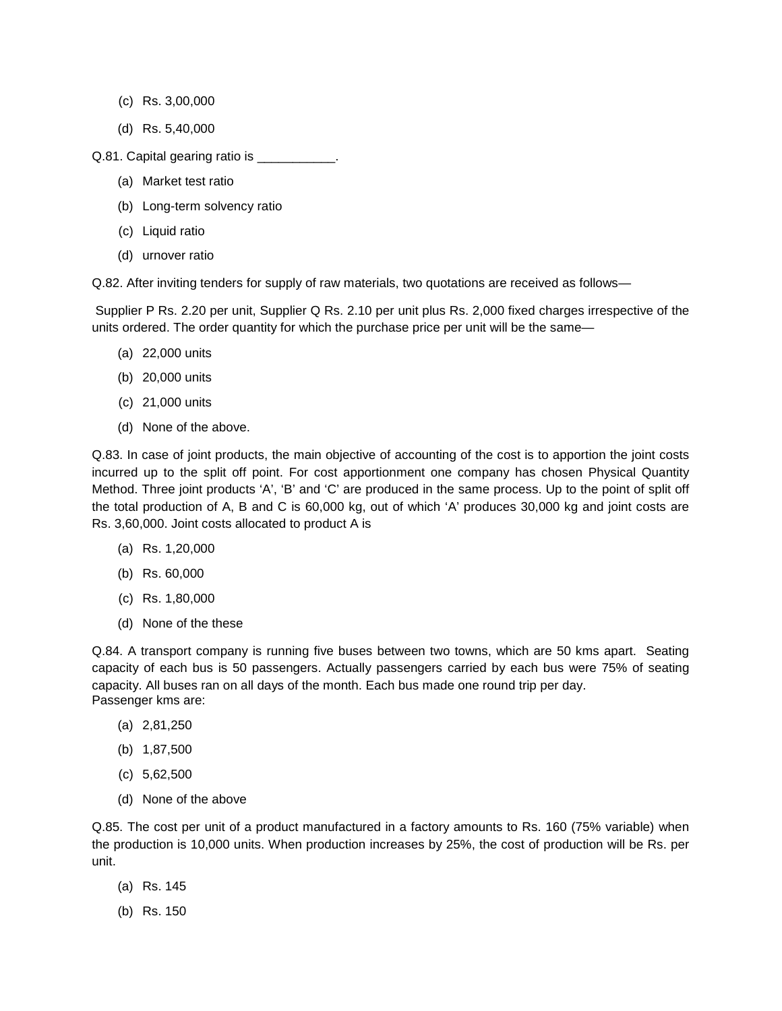- (c) Rs. 3,00,000
- (d) Rs. 5,40,000
- Q.81. Capital gearing ratio is \_\_\_\_\_\_\_\_\_\_\_.
	- (a) Market test ratio
	- (b) Long-term solvency ratio
	- (c) Liquid ratio
	- (d) urnover ratio

Q.82. After inviting tenders for supply of raw materials, two quotations are received as follows—

Supplier P Rs. 2.20 per unit, Supplier Q Rs. 2.10 per unit plus Rs. 2,000 fixed charges irrespective of the units ordered. The order quantity for which the purchase price per unit will be the same—

- (a) 22,000 units
- (b) 20,000 units
- (c) 21,000 units
- (d) None of the above.

Q.83. In case of joint products, the main objective of accounting of the cost is to apportion the joint costs incurred up to the split off point. For cost apportionment one company has chosen Physical Quantity Method. Three joint products 'A', 'B' and 'C' are produced in the same process. Up to the point of split off the total production of A, B and C is 60,000 kg, out of which 'A' produces 30,000 kg and joint costs are Rs. 3,60,000. Joint costs allocated to product A is

- (a) Rs. 1,20,000
- (b) Rs. 60,000
- (c) Rs. 1,80,000
- (d) None of the these

Q.84. A transport company is running five buses between two towns, which are 50 kms apart. Seating capacity of each bus is 50 passengers. Actually passengers carried by each bus were 75% of seating capacity. All buses ran on all days of the month. Each bus made one round trip per day. Passenger kms are:

- (a) 2,81,250
- (b) 1,87,500
- (c) 5,62,500
- (d) None of the above

Q.85. The cost per unit of a product manufactured in a factory amounts to Rs. 160 (75% variable) when the production is 10,000 units. When production increases by 25%, the cost of production will be Rs. per unit.

- (a) Rs. 145
- (b) Rs. 150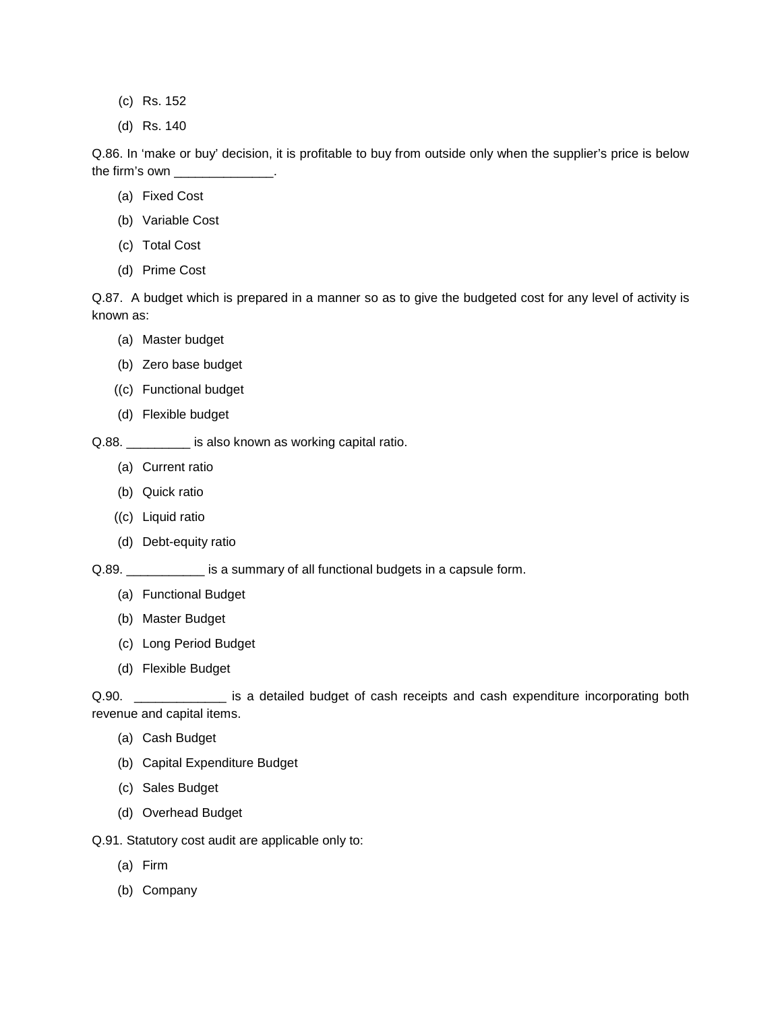- (c) Rs. 152
- (d) Rs. 140

Q.86. In 'make or buy' decision, it is profitable to buy from outside only when the supplier's price is below the firm's own \_\_\_\_\_\_\_\_\_\_\_\_\_\_.

- (a) Fixed Cost
- (b) Variable Cost
- (c) Total Cost
- (d) Prime Cost

Q.87. A budget which is prepared in a manner so as to give the budgeted cost for any level of activity is known as:

- (a) Master budget
- (b) Zero base budget
- ((c) Functional budget
- (d) Flexible budget

Q.88. \_\_\_\_\_\_\_\_\_\_ is also known as working capital ratio.

- (a) Current ratio
- (b) Quick ratio
- ((c) Liquid ratio
- (d) Debt-equity ratio

Q.89. \_\_\_\_\_\_\_\_\_\_\_\_ is a summary of all functional budgets in a capsule form.

- (a) Functional Budget
- (b) Master Budget
- (c) Long Period Budget
- (d) Flexible Budget

Q.90. **Example 20. Let us a set alled budget of cash receipts and cash expenditure incorporating both** revenue and capital items.

- (a) Cash Budget
- (b) Capital Expenditure Budget
- (c) Sales Budget
- (d) Overhead Budget

Q.91. Statutory cost audit are applicable only to:

- (a) Firm
- (b) Company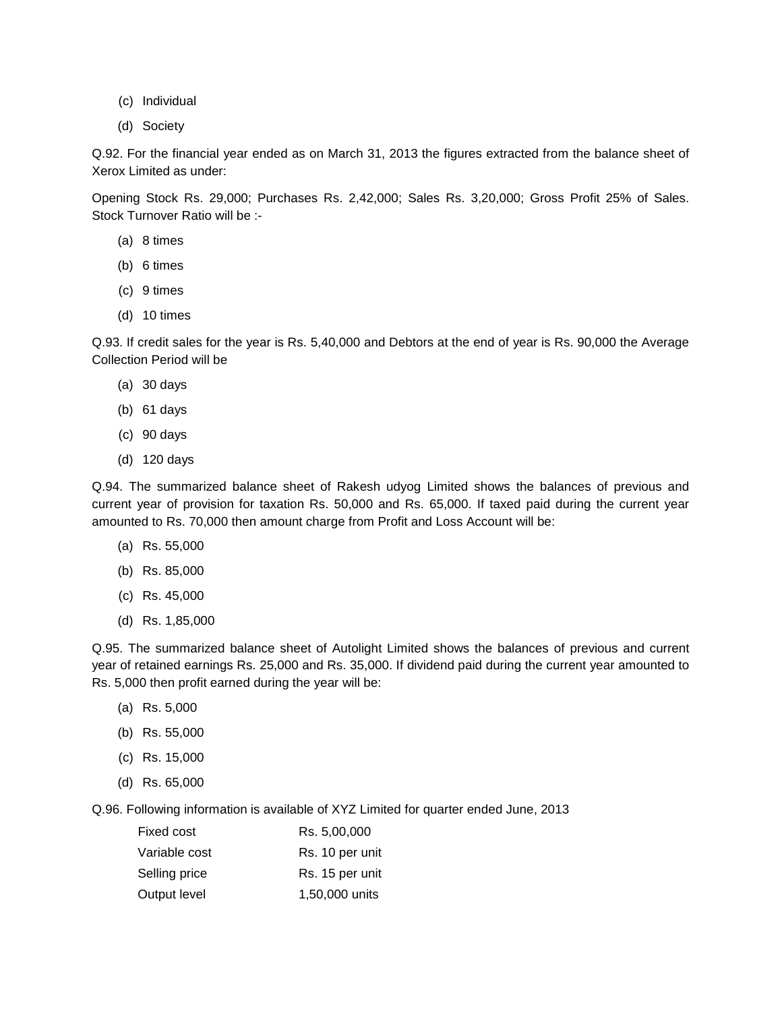- (c) Individual
- (d) Society

Q.92. For the financial year ended as on March 31, 2013 the figures extracted from the balance sheet of Xerox Limited as under:

Opening Stock Rs. 29,000; Purchases Rs. 2,42,000; Sales Rs. 3,20,000; Gross Profit 25% of Sales. Stock Turnover Ratio will be :-

- (a) 8 times
- (b) 6 times
- (c) 9 times
- (d) 10 times

Q.93. If credit sales for the year is Rs. 5,40,000 and Debtors at the end of year is Rs. 90,000 the Average Collection Period will be

- (a) 30 days
- (b) 61 days
- (c) 90 days
- (d) 120 days

Q.94. The summarized balance sheet of Rakesh udyog Limited shows the balances of previous and current year of provision for taxation Rs. 50,000 and Rs. 65,000. If taxed paid during the current year amounted to Rs. 70,000 then amount charge from Profit and Loss Account will be:

- (a) Rs. 55,000
- (b) Rs. 85,000
- (c) Rs. 45,000
- (d) Rs. 1,85,000

Q.95. The summarized balance sheet of Autolight Limited shows the balances of previous and current year of retained earnings Rs. 25,000 and Rs. 35,000. If dividend paid during the current year amounted to Rs. 5,000 then profit earned during the year will be:

- (a) Rs. 5,000
- (b) Rs. 55,000
- (c) Rs. 15,000
- (d) Rs. 65,000

Q.96. Following information is available of XYZ Limited for quarter ended June, 2013

| Fixed cost    | Rs. 5,00,000    |
|---------------|-----------------|
| Variable cost | Rs. 10 per unit |
| Selling price | Rs. 15 per unit |
| Output level  | 1,50,000 units  |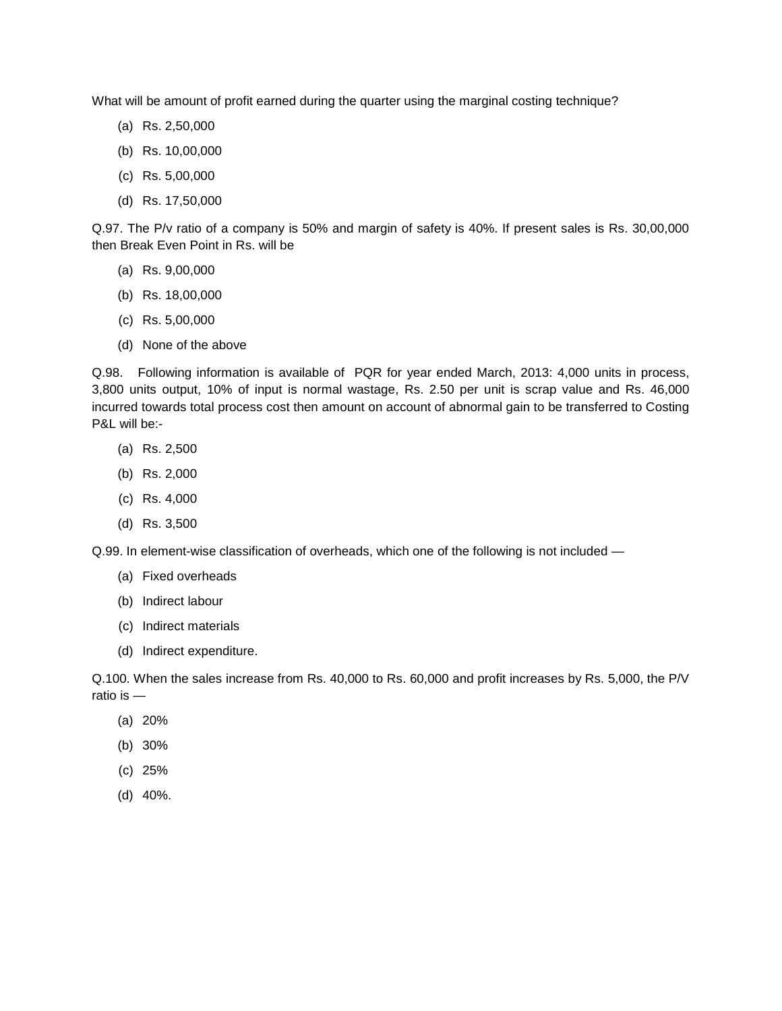What will be amount of profit earned during the quarter using the marginal costing technique?

- (a) Rs. 2,50,000
- (b) Rs. 10,00,000
- (c) Rs. 5,00,000
- (d) Rs. 17,50,000

Q.97. The P/v ratio of a company is 50% and margin of safety is 40%. If present sales is Rs. 30,00,000 then Break Even Point in Rs. will be

- (a) Rs. 9,00,000
- (b) Rs. 18,00,000
- (c) Rs. 5,00,000
- (d) None of the above

Q.98. Following information is available of PQR for year ended March, 2013: 4,000 units in process, 3,800 units output, 10% of input is normal wastage, Rs. 2.50 per unit is scrap value and Rs. 46,000 incurred towards total process cost then amount on account of abnormal gain to be transferred to Costing P&L will be:-

- (a) Rs. 2,500
- (b) Rs. 2,000
- (c) Rs. 4,000
- (d) Rs. 3,500

Q.99. In element-wise classification of overheads, which one of the following is not included —

- (a) Fixed overheads
- (b) Indirect labour
- (c) Indirect materials
- (d) Indirect expenditure.

Q.100. When the sales increase from Rs. 40,000 to Rs. 60,000 and profit increases by Rs. 5,000, the P/V ratio is —

- (a) 20%
- (b) 30%
- (c) 25%
- (d) 40%.